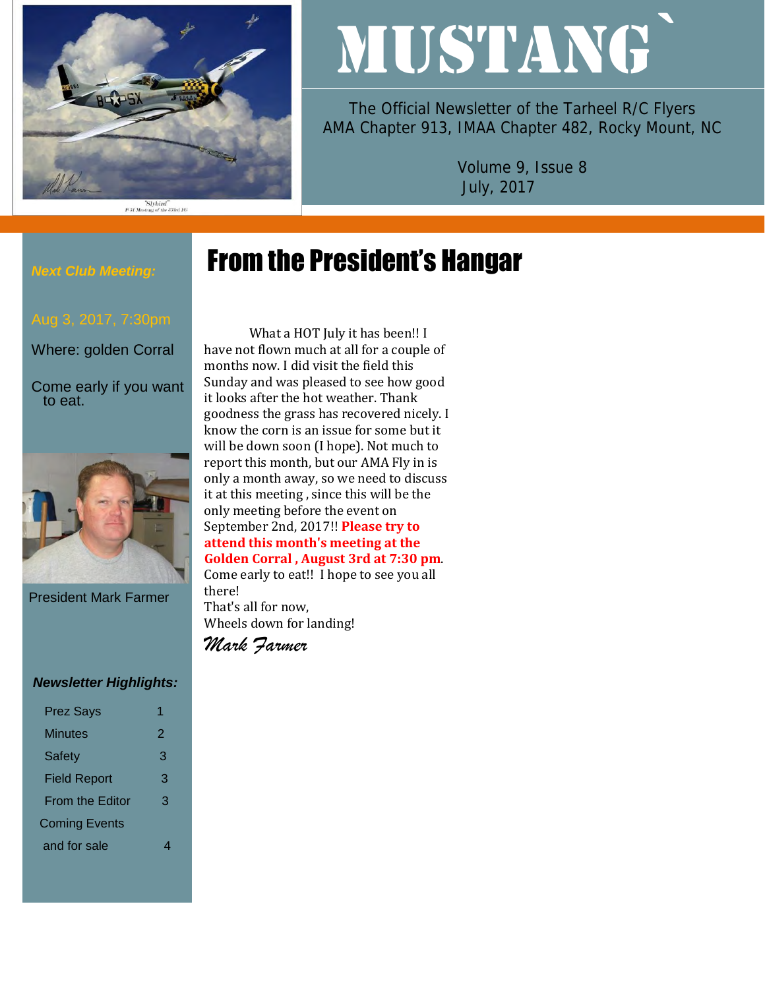

#### "Slybird"<br>P-51 Mustang of the 353rd FG

# MUSTANG`

The Official Newsletter of the Tarheel R/C Flyers AMA Chapter 913, IMAA Chapter 482, Rocky Mount, NC

> Volume 9, Issue 8 July, 2017

# From the President's Hangar

### *Next Club Meeting:*

Where: golden Corral

Come early if you want to eat.



President Mark Farmer

#### *Newsletter Highlights:*

| <b>Prez Says</b>       |   |
|------------------------|---|
| Minutes                | 2 |
| <b>Safety</b>          | 3 |
| <b>Field Report</b>    | З |
| <b>From the Editor</b> | 3 |
| <b>Coming Events</b>   |   |
| and for sale           |   |
|                        |   |

What a HOT July it has been!! I have not flown much at all for a couple of months now. I did visit the field this Sunday and was pleased to see how good it looks after the hot weather. Thank goodness the grass has recovered nicely. I know the corn is an issue for some but it will be down soon (I hope). Not much to report this month, but our AMA Fly in is only a month away, so we need to discuss it at this meeting , since this will be the only meeting before the event on September 2nd, 2017!! **Please try to attend this month's meeting at the Golden Corral , August 3rd at 7:30 pm**. Come early to eat!! I hope to see you all

That's all for now, Wheels down for landing!

*Mark Farmer*

there!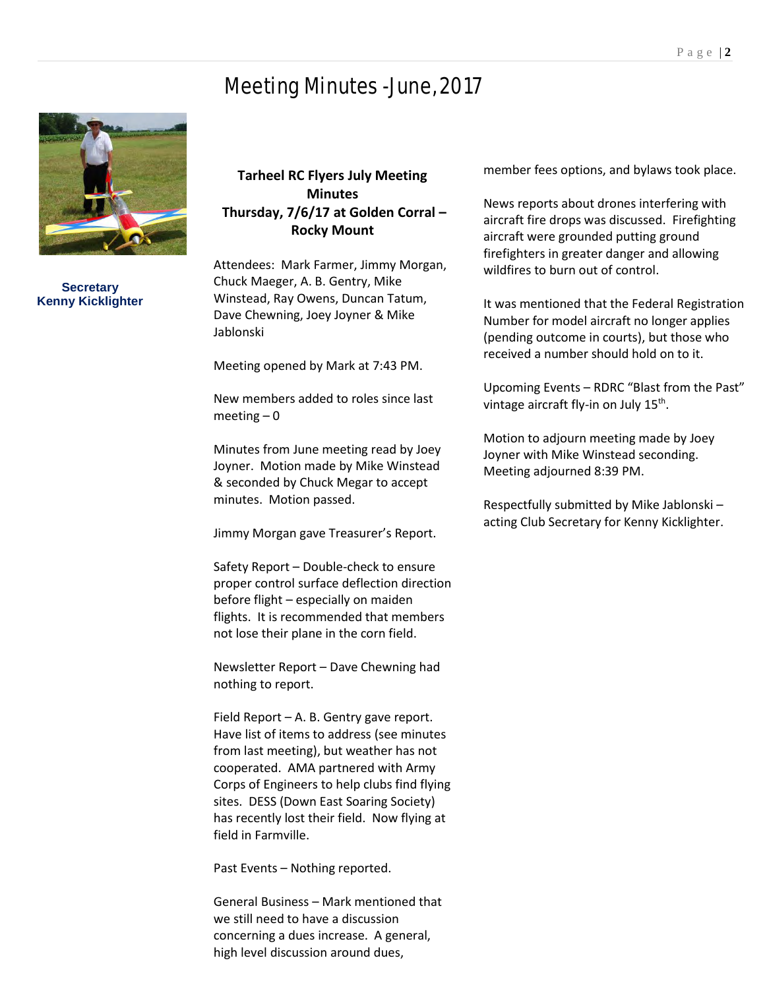# Meeting Minutes -June, 2017



**Secretary Kenny Kicklighter**

## **Tarheel RC Flyers July Meeting Minutes Thursday, 7/6/17 at Golden Corral – Rocky Mount**

Attendees: Mark Farmer, Jimmy Morgan, Chuck Maeger, A. B. Gentry, Mike Winstead, Ray Owens, Duncan Tatum, Dave Chewning, Joey Joyner & Mike Jablonski

Meeting opened by Mark at 7:43 PM.

New members added to roles since last  $meeting - 0$ 

Minutes from June meeting read by Joey Joyner. Motion made by Mike Winstead & seconded by Chuck Megar to accept minutes. Motion passed.

Jimmy Morgan gave Treasurer's Report.

Safety Report – Double-check to ensure proper control surface deflection direction before flight – especially on maiden flights. It is recommended that members not lose their plane in the corn field.

Newsletter Report – Dave Chewning had nothing to report.

Field Report – A. B. Gentry gave report. Have list of items to address (see minutes from last meeting), but weather has not cooperated. AMA partnered with Army Corps of Engineers to help clubs find flying sites. DESS (Down East Soaring Society) has recently lost their field. Now flying at field in Farmville.

Past Events – Nothing reported.

General Business – Mark mentioned that we still need to have a discussion concerning a dues increase. A general, high level discussion around dues,

member fees options, and bylaws took place.

News reports about drones interfering with aircraft fire drops was discussed. Firefighting aircraft were grounded putting ground firefighters in greater danger and allowing wildfires to burn out of control.

It was mentioned that the Federal Registration Number for model aircraft no longer applies (pending outcome in courts), but those who received a number should hold on to it.

Upcoming Events – RDRC "Blast from the Past" vintage aircraft fly-in on July 15<sup>th</sup>.

Motion to adjourn meeting made by Joey Joyner with Mike Winstead seconding. Meeting adjourned 8:39 PM.

Respectfully submitted by Mike Jablonski – acting Club Secretary for Kenny Kicklighter.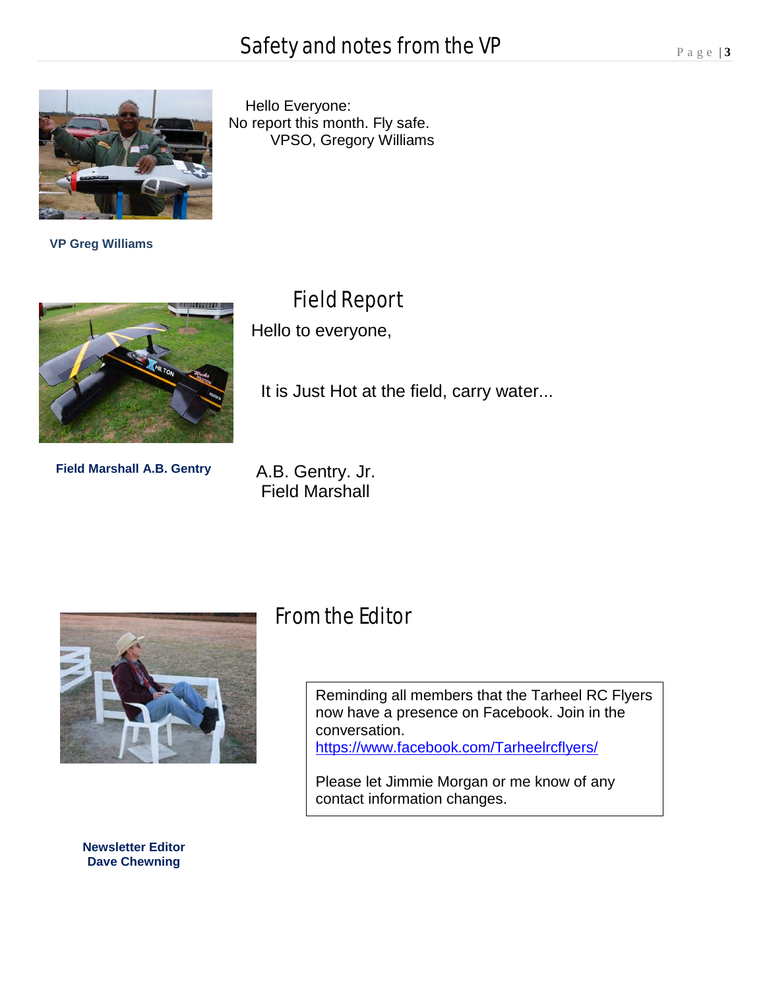

 **VP Greg Williams**

**Field Marshall A.B. Gentry**

 Hello Everyone: No report this month. Fly safe. VPSO, Gregory Williams

Field Report

Hello to everyone,

It is Just Hot at the field, carry water...

A.B. Gentry. Jr. Field Marshall



From the Editor

Reminding all members that the Tarheel RC Flyers now have a presence on Facebook. Join in the conversation. <https://www.facebook.com/Tarheelrcflyers/>

Please let Jimmie Morgan or me know of any contact information changes.

**Newsletter Editor Dave Chewning**